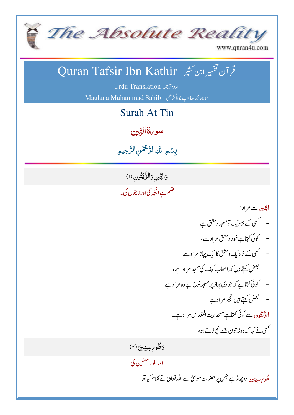

www.quran4u.com

## قر آن تفسیر ابن کثیر Quran Tafsir Ibn Kathir

Urdu Translation 
Maulana Muhammad Sahib

Surah At Tin

سو <sub>v</sub>قالتِين :<br>ئا

بِسُمِ اللَّهِ الرَّحْمَنِ الرَّحِيمِ <u>ر</u> رّ J<br>J نَبَ

وَالتِّينِوَالزَّيْتُونِ (١) **پو** ْ ّ **55** قسم ہے انجیر کی اور زیتون کی۔

> الدِّين سے مراد: ؚ

- سکسی کے نزدیک تومسجد دمشق ہے - کوئی کہتاہےخود دمشق مراد ہے، - سمسی کے نزدیک دمشق کاایک پہاڑ مرادے – لبحض کہتے ہیں کہ اصحاب کہف کی مسجد مر اد ہے، #< =>'?23@8 /01 % ۔ لبھض کہتے ہیں انجیر مر ادے الزَّيْتُون سے کوئی کہتاہے مسجد بی**ت** المقدس مر اد ہے۔ ؘؚ ֞֝֬֝֓֝֬֝֬֝֬֝֬֝֓֬֝֓֬֝֬֝֓֬֝֬֝֓֬֝֓**֓** تس<u>ی نے کہا کہ وہ زیتون جسے نچوڑ تے</u> ہو، دَطُو<sub>كِا</sub>سِينِينَ (٢) ُ

<sub>اور طور</sub>سينين کې K

> طُورِ <sub>سِین</sub>ِدِین وہ پہاڑہے جس پر حضرت مو سیٰ سے اللہ تعالیٰ نے کلام کیاتھا ُ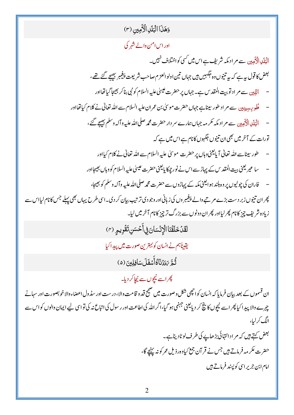وَهَذَا الْبَلَلِ الْأَمِين (٣) اور اس امن والے شہر کی الْہَلَک الْکَہدین سے مر اد مکہ شریف ہے اس میں <sup>کس</sup>ی کواختلاف نہیں۔ بعض کا قول بہ ہے کہ بہ تنیوں وہ جَکہمیں ہیں جہاں تین اولو العزم صاحب شریعت پنجمبر بیجیجے گئے تھے، الدِّين سے مر اد توبيت المقد س ہے۔ جہاں پر حضرت عيسىٰ عليہ السلام كو نبى بناكر بھيجا گيا تھااور ۔<br>طُوی<sub> پیبین</sub>دین سے مر اد طور سیناہے جہاں حضرت موسیٰ بن عمران علیہ السلام سے اللہ تعالیٰ نے کلام کیا تھااور الْبَلَدِ الْأَهِينِ سے مر اد مکہ مکر مہ جہاں ہمارے سر دار حضرت محمد صلی اللہ علیہ وآلہ وسلم بھیجے گئے، تورات کے آخر میں بھی ان تنیوں جگہوں کانام ہے اس میں ہے کہ طور سپناسے اللہ تعالٰی آ پایعنی وہاں پر حضرت موسیٰ علیہ السلام سے اللہ تعالٰی نے کلام کیااور سا عير يعني بيت المقد س كے پہاڑ سے اس نے نور چمکا پايعنی حضرت عيسىٰ عليہ السلام كووہاں بھيجااور فاران کی چوٹیوں پر وہ ہلند ہو ایعنی مکہ کے پہاڑوں سے حضرت محمہ صلی اللہ علیہ وآلہ وسلم کو بھیجا، پھر ان تنیوں زبر دست بڑے مرتبے والے پیغیبر وں کی زبانی اور وجو دی ترتیب بیان کر دی۔اسی طرح یہاں بھی پہلے جس کانام لیااس سے زیادہ شریف چیز کانام پھر لیااور پھر ان دونوں سے بزرگ تر چیز کانام آخر میں لیا۔ لَقَدْ خَلَقْنَا الْإِنْسَانَ فِي أَحْسَنِ تَقُوِيمِ (٣) يقيناً ہم نے انسان کو بہترین صورت میں پیدا کیا ثُّجَّ 7َدَدْنَاكُاأَّ مَفَلَ)سَافِلِينَ (۵) پھراسے <u>نیچوں سے نیچا</u>کر دیا۔ ان قسموں کے بعد بیان فرمایا کہ انسان کوا چھی شکل وصورت میں صحیح قد و قامت وال<sub>ا</sub>، درست اور سڈول اعضاءوالاخو بصورت اور سہانے چہرے والا پید اکیا پھر اسے نیچوں کا پنچ کر دیایعنی جہنمی ہو گیا،اگر اللہ کی اطاعت اور رسول کی اتباع نہ کی تواس لیے ایمان والوں کو اس سے الگ کرلیا، <u>لبعض کہتے ہیں</u> کہ مر اد انتہائی بڑھاپے کی طرف لوٹادیناہے۔ حضرت عکر مہ فرماتے ہیں جس نے قر آن جمع کیاوہ رذیل عمر کونہ پہنچے گا، امام ابن جریر اسی کوپسند فرماتے ہیں